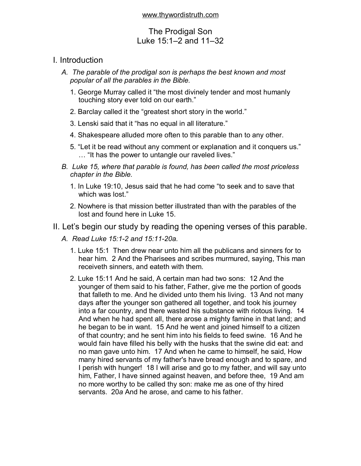# The Prodigal Son Luke 15:1–2 and 11–32

# I. Introduction

- *A. The parable of the prodigal son is perhaps the best known and most popular of all the parables in the Bible.* 
	- 1. George Murray called it "the most divinely tender and most humanly touching story ever told on our earth."
	- 2. Barclay called it the "greatest short story in the world."
	- 3. Lenski said that it "has no equal in all literature."
	- 4. Shakespeare alluded more often to this parable than to any other.
	- 5. "Let it be read without any comment or explanation and it conquers us." … "It has the power to untangle our raveled lives."
- *B. Luke 15, where that parable is found, has been called the most priceless chapter in the Bible.* 
	- 1. In Luke 19:10, Jesus said that he had come "to seek and to save that which was lost."
	- 2. Nowhere is that mission better illustrated than with the parables of the lost and found here in Luke 15.
- II. Let's begin our study by reading the opening verses of this parable.
	- *A. Read Luke 15:1-2 and 15:11-20a.* 
		- 1. Luke 15:1 Then drew near unto him all the publicans and sinners for to hear him. 2 And the Pharisees and scribes murmured, saying, This man receiveth sinners, and eateth with them.
		- 2. Luke 15:11 And he said, A certain man had two sons: 12 And the younger of them said to his father, Father, give me the portion of goods that falleth to me. And he divided unto them his living. 13 And not many days after the younger son gathered all together, and took his journey into a far country, and there wasted his substance with riotous living. 14 And when he had spent all, there arose a mighty famine in that land; and he began to be in want. 15 And he went and joined himself to a citizen of that country; and he sent him into his fields to feed swine. 16 And he would fain have filled his belly with the husks that the swine did eat: and no man gave unto him. 17 And when he came to himself, he said, How many hired servants of my father's have bread enough and to spare, and I perish with hunger! 18 I will arise and go to my father, and will say unto him, Father, I have sinned against heaven, and before thee, 19 And am no more worthy to be called thy son: make me as one of thy hired servants. 20*a* And he arose, and came to his father.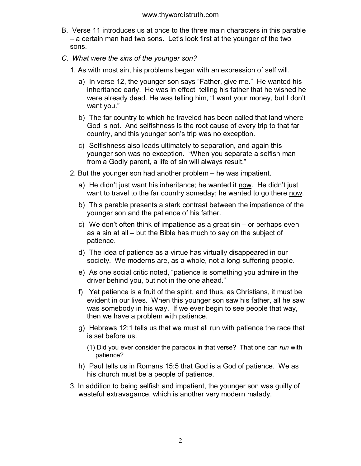- B. Verse 11 introduces us at once to the three main characters in this parable – a certain man had two sons. Let's look first at the younger of the two sons.
- *C. What were the sins of the younger son?* 
	- 1. As with most sin, his problems began with an expression of self will.
		- a) In verse 12, the younger son says "Father, give me." He wanted his inheritance early. He was in effect telling his father that he wished he were already dead. He was telling him, "I want your money, but I don't want you."
		- b) The far country to which he traveled has been called that land where God is not. And selfishness is the root cause of every trip to that far country, and this younger son's trip was no exception.
		- c) Selfishness also leads ultimately to separation, and again this younger son was no exception. "When you separate a selfish man from a Godly parent, a life of sin will always result."
	- 2. But the younger son had another problem he was impatient.
		- a) He didn't just want his inheritance; he wanted it now. He didn't just want to travel to the far country someday; he wanted to go there now.
		- b) This parable presents a stark contrast between the impatience of the younger son and the patience of his father.
		- c) We don't often think of impatience as a great sin or perhaps even as a sin at all – but the Bible has much to say on the subject of patience.
		- d) The idea of patience as a virtue has virtually disappeared in our society. We moderns are, as a whole, not a long-suffering people.
		- e) As one social critic noted, "patience is something you admire in the driver behind you, but not in the one ahead."
		- f) Yet patience is a fruit of the spirit, and thus, as Christians, it must be evident in our lives. When this younger son saw his father, all he saw was somebody in his way. If we ever begin to see people that way, then we have a problem with patience.
		- g) Hebrews 12:1 tells us that we must all run with patience the race that is set before us.
			- (1) Did you ever consider the paradox in that verse? That one can *run* with patience?
		- h) Paul tells us in Romans 15:5 that God is a God of patience. We as his church must be a people of patience.
	- 3. In addition to being selfish and impatient, the younger son was guilty of wasteful extravagance, which is another very modern malady.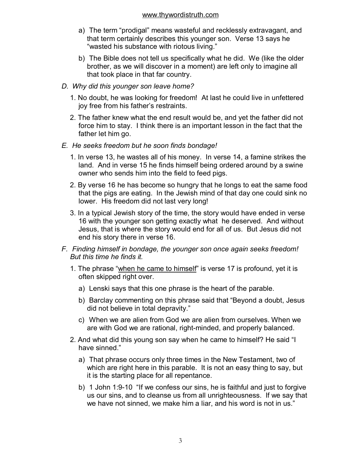- a) The term "prodigal" means wasteful and recklessly extravagant, and that term certainly describes this younger son. Verse 13 says he "wasted his substance with riotous living."
- b) The Bible does not tell us specifically what he did. We (like the older brother, as we will discover in a moment) are left only to imagine all that took place in that far country.
- *D. Why did this younger son leave home?* 
	- 1. No doubt, he was looking for freedom! At last he could live in unfettered joy free from his father's restraints.
	- 2. The father knew what the end result would be, and yet the father did not force him to stay. I think there is an important lesson in the fact that the father let him go.
- *E. He seeks freedom but he soon finds bondage!* 
	- 1. In verse 13, he wastes all of his money. In verse 14, a famine strikes the land. And in verse 15 he finds himself being ordered around by a swine owner who sends him into the field to feed pigs.
	- 2. By verse 16 he has become so hungry that he longs to eat the same food that the pigs are eating. In the Jewish mind of that day one could sink no lower. His freedom did not last very long!
	- 3. In a typical Jewish story of the time, the story would have ended in verse 16 with the younger son getting exactly what he deserved. And without Jesus, that is where the story would end for all of us. But Jesus did not end his story there in verse 16.
- *F. Finding himself in bondage, the younger son once again seeks freedom! But this time he finds it.* 
	- 1. The phrase "when he came to himself" is verse 17 is profound, yet it is often skipped right over.
		- a) Lenski says that this one phrase is the heart of the parable.
		- b) Barclay commenting on this phrase said that "Beyond a doubt, Jesus did not believe in total depravity."
		- c) When we are alien from God we are alien from ourselves. When we are with God we are rational, right-minded, and properly balanced.
	- 2. And what did this young son say when he came to himself? He said "I have sinned."
		- a) That phrase occurs only three times in the New Testament, two of which are right here in this parable. It is not an easy thing to say, but it is the starting place for all repentance.
		- b) 1 John 1:9-10 "If we confess our sins, he is faithful and just to forgive us our sins, and to cleanse us from all unrighteousness. If we say that we have not sinned, we make him a liar, and his word is not in us."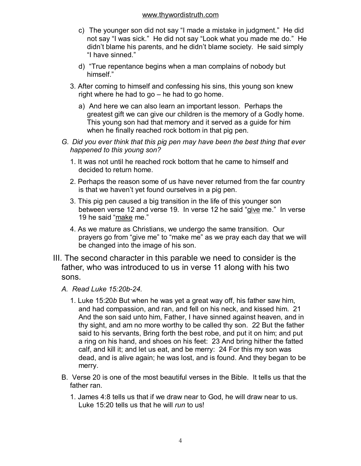- c) The younger son did not say "I made a mistake in judgment." He did not say "I was sick." He did not say "Look what you made me do." He didn't blame his parents, and he didn't blame society. He said simply "I have sinned."
- d) "True repentance begins when a man complains of nobody but himself."
- 3. After coming to himself and confessing his sins, this young son knew right where he had to go – he had to go home.
	- a) And here we can also learn an important lesson. Perhaps the greatest gift we can give our children is the memory of a Godly home. This young son had that memory and it served as a guide for him when he finally reached rock bottom in that pig pen.
- *G. Did you ever think that this pig pen may have been the best thing that ever happened to this young son?* 
	- 1. It was not until he reached rock bottom that he came to himself and decided to return home.
	- 2. Perhaps the reason some of us have never returned from the far country is that we haven't yet found ourselves in a pig pen.
	- 3. This pig pen caused a big transition in the life of this younger son between verse 12 and verse 19. In verse 12 he said "give me." In verse 19 he said "make me."
	- 4. As we mature as Christians, we undergo the same transition. Our prayers go from "give me" to "make me" as we pray each day that we will be changed into the image of his son.
- III. The second character in this parable we need to consider is the father, who was introduced to us in verse 11 along with his two sons.
	- *A. Read Luke 15:20b-24.* 
		- 1. Luke 15:20*b* But when he was yet a great way off, his father saw him, and had compassion, and ran, and fell on his neck, and kissed him. 21 And the son said unto him, Father, I have sinned against heaven, and in thy sight, and am no more worthy to be called thy son. 22 But the father said to his servants, Bring forth the best robe, and put it on him; and put a ring on his hand, and shoes on his feet: 23 And bring hither the fatted calf, and kill it; and let us eat, and be merry: 24 For this my son was dead, and is alive again; he was lost, and is found. And they began to be merry.
	- B. Verse 20 is one of the most beautiful verses in the Bible. It tells us that the father ran.
		- 1. James 4:8 tells us that if we draw near to God, he will draw near to us. Luke 15:20 tells us that he will *run* to us!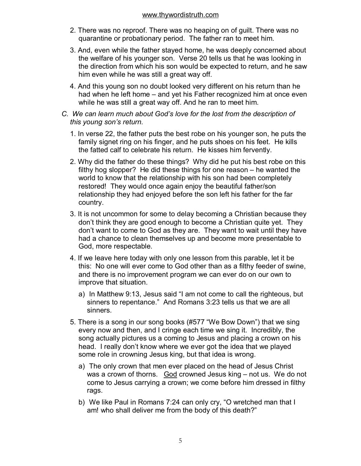- 2. There was no reproof. There was no heaping on of guilt. There was no quarantine or probationary period. The father ran to meet him.
- 3. And, even while the father stayed home, he was deeply concerned about the welfare of his younger son. Verse 20 tells us that he was looking in the direction from which his son would be expected to return, and he saw him even while he was still a great way off.
- 4. And this young son no doubt looked very different on his return than he had when he left home – and yet his Father recognized him at once even while he was still a great way off. And he ran to meet him.
- *C. We can learn much about God's love for the lost from the description of this young son's return.* 
	- 1. In verse 22, the father puts the best robe on his younger son, he puts the family signet ring on his finger, and he puts shoes on his feet. He kills the fatted calf to celebrate his return. He kisses him fervently.
	- 2. Why did the father do these things? Why did he put his best robe on this filthy hog slopper? He did these things for one reason – he wanted the world to know that the relationship with his son had been completely restored! They would once again enjoy the beautiful father/son relationship they had enjoyed before the son left his father for the far country.
	- 3. It is not uncommon for some to delay becoming a Christian because they don't think they are good enough to become a Christian quite yet. They don't want to come to God as they are. They want to wait until they have had a chance to clean themselves up and become more presentable to God, more respectable.
	- 4. If we leave here today with only one lesson from this parable, let it be this: No one will ever come to God other than as a filthy feeder of swine, and there is no improvement program we can ever do on our own to improve that situation.
		- a) In Matthew 9:13, Jesus said "I am not come to call the righteous, but sinners to repentance." And Romans 3:23 tells us that we are all sinners.
	- 5. There is a song in our song books (#577 "We Bow Down") that we sing every now and then, and I cringe each time we sing it. Incredibly, the song actually pictures us a coming to Jesus and placing a crown on his head. I really don't know where we ever got the idea that we played some role in crowning Jesus king, but that idea is wrong.
		- a) The only crown that men ever placed on the head of Jesus Christ was a crown of thorns. God crowned Jesus king - not us. We do not come to Jesus carrying a crown; we come before him dressed in filthy rags.
		- b) We like Paul in Romans 7:24 can only cry, "O wretched man that I am! who shall deliver me from the body of this death?"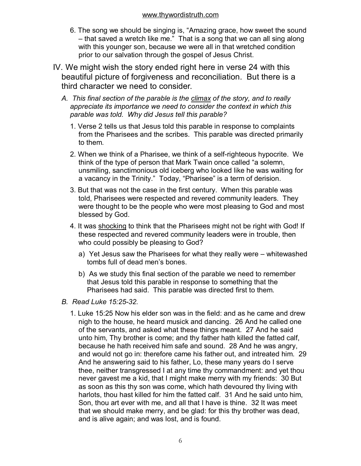- 6. The song we should be singing is, "Amazing grace, how sweet the sound – that saved a wretch like me." That is a song that we can all sing along with this younger son, because we were all in that wretched condition prior to our salvation through the gospel of Jesus Christ.
- IV. We might wish the story ended right here in verse 24 with this beautiful picture of forgiveness and reconciliation. But there is a third character we need to consider.
	- *A. This final section of the parable is the climax of the story, and to really appreciate its importance we need to consider the context in which this parable was told. Why did Jesus tell this parable?* 
		- 1. Verse 2 tells us that Jesus told this parable in response to complaints from the Pharisees and the scribes. This parable was directed primarily to them.
		- 2. When we think of a Pharisee, we think of a self-righteous hypocrite. We think of the type of person that Mark Twain once called "a solemn, unsmiling, sanctimonious old iceberg who looked like he was waiting for a vacancy in the Trinity." Today, "Pharisee" is a term of derision.
		- 3. But that was not the case in the first century. When this parable was told, Pharisees were respected and revered community leaders. They were thought to be the people who were most pleasing to God and most blessed by God.
		- 4. It was shocking to think that the Pharisees might not be right with God! If these respected and revered community leaders were in trouble, then who could possibly be pleasing to God?
			- a) Yet Jesus saw the Pharisees for what they really were whitewashed tombs full of dead men's bones.
			- b) As we study this final section of the parable we need to remember that Jesus told this parable in response to something that the Pharisees had said. This parable was directed first to them.
	- *B. Read Luke 15:25-32.* 
		- 1. Luke 15:25 Now his elder son was in the field: and as he came and drew nigh to the house, he heard musick and dancing. 26 And he called one of the servants, and asked what these things meant. 27 And he said unto him, Thy brother is come; and thy father hath killed the fatted calf, because he hath received him safe and sound. 28 And he was angry, and would not go in: therefore came his father out, and intreated him. 29 And he answering said to his father, Lo, these many years do I serve thee, neither transgressed I at any time thy commandment: and yet thou never gavest me a kid, that I might make merry with my friends: 30 But as soon as this thy son was come, which hath devoured thy living with harlots, thou hast killed for him the fatted calf. 31 And he said unto him, Son, thou art ever with me, and all that I have is thine. 32 It was meet that we should make merry, and be glad: for this thy brother was dead, and is alive again; and was lost, and is found.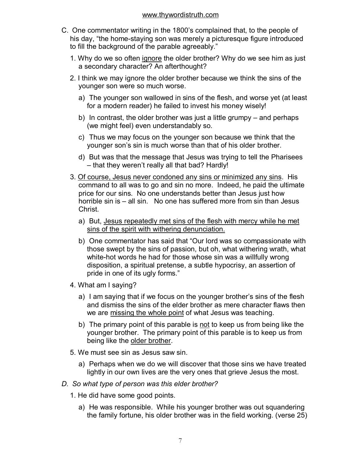- C. One commentator writing in the 1800's complained that, to the people of his day, "the home-staying son was merely a picturesque figure introduced to fill the background of the parable agreeably."
	- 1. Why do we so often ignore the older brother? Why do we see him as just a secondary character? An afterthought?
	- 2. I think we may ignore the older brother because we think the sins of the younger son were so much worse.
		- a) The younger son wallowed in sins of the flesh, and worse yet (at least for a modern reader) he failed to invest his money wisely!
		- b) In contrast, the older brother was just a little grumpy and perhaps (we might feel) even understandably so.
		- c) Thus we may focus on the younger son because we think that the younger son's sin is much worse than that of his older brother.
		- d) But was that the message that Jesus was trying to tell the Pharisees – that they weren't really all that bad? Hardly!
	- 3. Of course, Jesus never condoned any sins or minimized any sins. His command to all was to go and sin no more. Indeed, he paid the ultimate price for our sins. No one understands better than Jesus just how horrible sin is – all sin. No one has suffered more from sin than Jesus Christ.
		- a) But, Jesus repeatedly met sins of the flesh with mercy while he met sins of the spirit with withering denunciation.
		- b) One commentator has said that "Our lord was so compassionate with those swept by the sins of passion, but oh, what withering wrath, what white-hot words he had for those whose sin was a willfully wrong disposition, a spiritual pretense, a subtle hypocrisy, an assertion of pride in one of its ugly forms."
	- 4. What am I saying?
		- a) I am saying that if we focus on the younger brother's sins of the flesh and dismiss the sins of the elder brother as mere character flaws then we are missing the whole point of what Jesus was teaching.
		- b) The primary point of this parable is not to keep us from being like the younger brother. The primary point of this parable is to keep us from being like the older brother.
	- 5. We must see sin as Jesus saw sin.
		- a) Perhaps when we do we will discover that those sins we have treated lightly in our own lives are the very ones that grieve Jesus the most.
- *D. So what type of person was this elder brother?* 
	- 1. He did have some good points.
		- a) He was responsible. While his younger brother was out squandering the family fortune, his older brother was in the field working. (verse 25)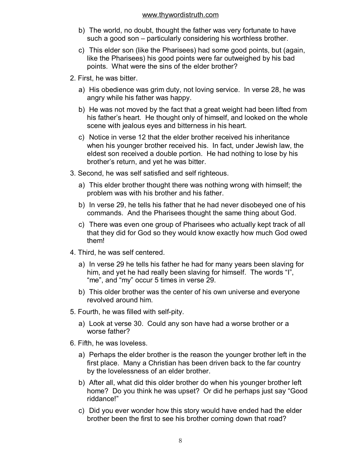- b) The world, no doubt, thought the father was very fortunate to have such a good son – particularly considering his worthless brother.
- c) This elder son (like the Pharisees) had some good points, but (again, like the Pharisees) his good points were far outweighed by his bad points. What were the sins of the elder brother?
- 2. First, he was bitter.
	- a) His obedience was grim duty, not loving service. In verse 28, he was angry while his father was happy.
	- b) He was not moved by the fact that a great weight had been lifted from his father's heart. He thought only of himself, and looked on the whole scene with jealous eyes and bitterness in his heart.
	- c) Notice in verse 12 that the elder brother received his inheritance when his younger brother received his. In fact, under Jewish law, the eldest son received a double portion. He had nothing to lose by his brother's return, and yet he was bitter.
- 3. Second, he was self satisfied and self righteous.
	- a) This elder brother thought there was nothing wrong with himself; the problem was with his brother and his father.
	- b) In verse 29, he tells his father that he had never disobeyed one of his commands. And the Pharisees thought the same thing about God.
	- c) There was even one group of Pharisees who actually kept track of all that they did for God so they would know exactly how much God owed them!
- 4. Third, he was self centered.
	- a) In verse 29 he tells his father he had for many years been slaving for him, and yet he had really been slaving for himself. The words "I", "me", and "my" occur 5 times in verse 29.
	- b) This older brother was the center of his own universe and everyone revolved around him.
- 5. Fourth, he was filled with self-pity.
	- a) Look at verse 30. Could any son have had a worse brother or a worse father?
- 6. Fifth, he was loveless.
	- a) Perhaps the elder brother is the reason the younger brother left in the first place. Many a Christian has been driven back to the far country by the lovelessness of an elder brother.
	- b) After all, what did this older brother do when his younger brother left home? Do you think he was upset? Or did he perhaps just say "Good riddance!"
	- c) Did you ever wonder how this story would have ended had the elder brother been the first to see his brother coming down that road?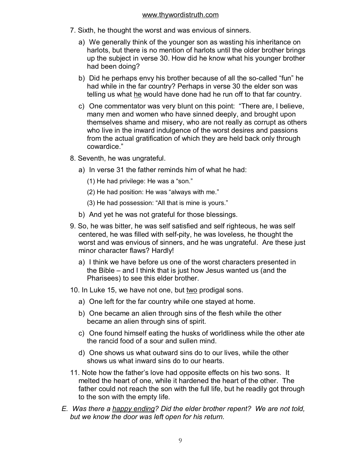- 7. Sixth, he thought the worst and was envious of sinners.
	- a) We generally think of the younger son as wasting his inheritance on harlots, but there is no mention of harlots until the older brother brings up the subject in verse 30. How did he know what his younger brother had been doing?
	- b) Did he perhaps envy his brother because of all the so-called "fun" he had while in the far country? Perhaps in verse 30 the elder son was telling us what he would have done had he run off to that far country.
	- c) One commentator was very blunt on this point: "There are, I believe, many men and women who have sinned deeply, and brought upon themselves shame and misery, who are not really as corrupt as others who live in the inward indulgence of the worst desires and passions from the actual gratification of which they are held back only through cowardice."
- 8. Seventh, he was ungrateful.
	- a) In verse 31 the father reminds him of what he had:
		- (1) He had privilege: He was a "son."
		- (2) He had position: He was "always with me."
		- (3) He had possession: "All that is mine is yours."
	- b) And yet he was not grateful for those blessings.
- 9. So, he was bitter, he was self satisfied and self righteous, he was self centered, he was filled with self-pity, he was loveless, he thought the worst and was envious of sinners, and he was ungrateful. Are these just minor character flaws? Hardly!
	- a) I think we have before us one of the worst characters presented in the Bible – and I think that is just how Jesus wanted us (and the Pharisees) to see this elder brother.
- 10. In Luke 15, we have not one, but two prodigal sons.
	- a) One left for the far country while one stayed at home.
	- b) One became an alien through sins of the flesh while the other became an alien through sins of spirit.
	- c) One found himself eating the husks of worldliness while the other ate the rancid food of a sour and sullen mind.
	- d) One shows us what outward sins do to our lives, while the other shows us what inward sins do to our hearts.
- 11. Note how the father's love had opposite effects on his two sons. It melted the heart of one, while it hardened the heart of the other. The father could not reach the son with the full life, but he readily got through to the son with the empty life.
- *E. Was there a happy ending? Did the elder brother repent? We are not told, but we know the door was left open for his return.*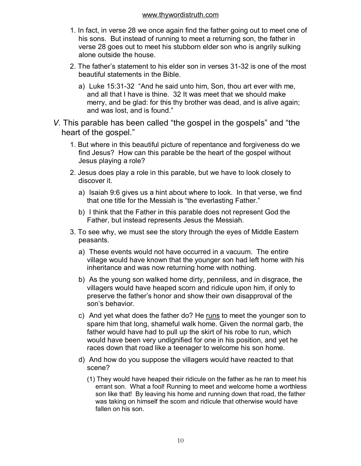- 1. In fact, in verse 28 we once again find the father going out to meet one of his sons. But instead of running to meet a returning son, the father in verse 28 goes out to meet his stubborn elder son who is angrily sulking alone outside the house.
- 2. The father's statement to his elder son in verses 31-32 is one of the most beautiful statements in the Bible.
	- a) Luke 15:31-32 "And he said unto him, Son, thou art ever with me, and all that I have is thine. 32 It was meet that we should make merry, and be glad: for this thy brother was dead, and is alive again; and was lost, and is found."
- *V.* This parable has been called "the gospel in the gospels" and "the heart of the gospel."
	- 1. But where in this beautiful picture of repentance and forgiveness do we find Jesus? How can this parable be the heart of the gospel without Jesus playing a role?
	- 2. Jesus does play a role in this parable, but we have to look closely to discover it.
		- a) Isaiah 9:6 gives us a hint about where to look. In that verse, we find that one title for the Messiah is "the everlasting Father."
		- b) I think that the Father in this parable does not represent God the Father, but instead represents Jesus the Messiah.
	- 3. To see why, we must see the story through the eyes of Middle Eastern peasants.
		- a) These events would not have occurred in a vacuum. The entire village would have known that the younger son had left home with his inheritance and was now returning home with nothing.
		- b) As the young son walked home dirty, penniless, and in disgrace, the villagers would have heaped scorn and ridicule upon him, if only to preserve the father's honor and show their own disapproval of the son's behavior.
		- c) And yet what does the father do? He runs to meet the younger son to spare him that long, shameful walk home. Given the normal garb, the father would have had to pull up the skirt of his robe to run, which would have been very undignified for one in his position, and yet he races down that road like a teenager to welcome his son home.
		- d) And how do you suppose the villagers would have reacted to that scene?
			- (1) They would have heaped their ridicule on the father as he ran to meet his errant son. What a fool! Running to meet and welcome home a worthless son like that! By leaving his home and running down that road, the father was taking on himself the scorn and ridicule that otherwise would have fallen on his son.